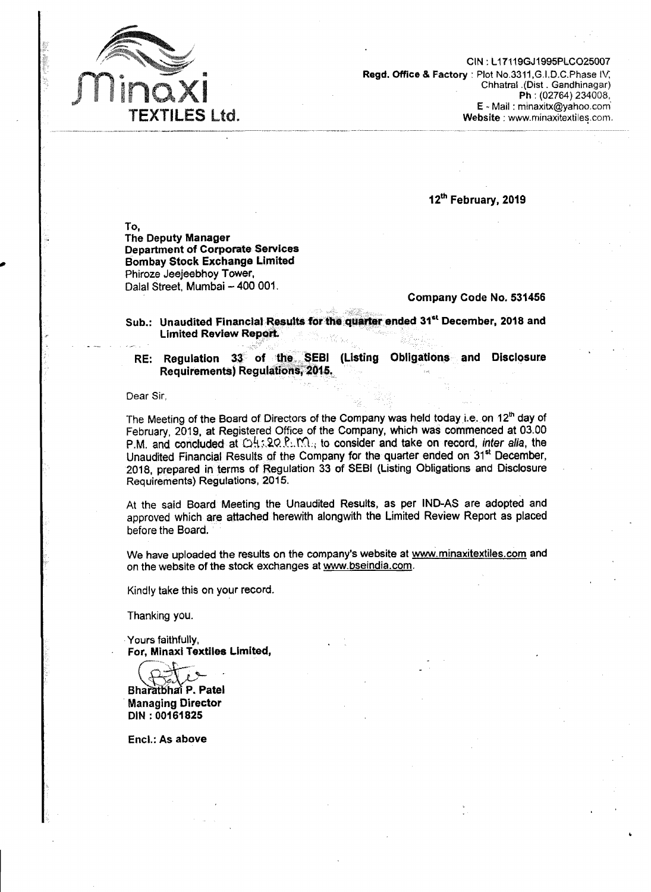

**ClN** : 11 71 19GJ1995PLC025007 Regd. Office & **Factory** : Plot **No.3311,G.I.D.C.Phase I\/;**  Chhatnl **.(Dist** . Gandhinagar) Ph : (02764) 234008, E - Mail : minaxitx@yahoo.com Website : www.minaxitextiles.com.

**12~** February, **2019** 

To, The Deputy Manager Department of Corporate Services Bombay Stock Exchange Limited Phiroze Jeejeebhoy Tower, Dalal Street, Mumbai - 400 001.

## Company Code No. 531456

**Sub.: Unaudited Financial Results** for **thtr qtmt'er** ended **31''** December, 2018 **and Limited Review Report** 

RE: Regulation 33 of the **SEBl** (Listing Obligations **and** Disc10sur.e Requirements) Requiations, 2015.

Dear Sir.

The Meeting of the Board of Directors of the Company was held today **i.e,** on **12~** day of February, 2019, at Registered Office of the Company, which was commenced at 03.00 P.M. and concluded at  $QH$ : 20.P. M., to consider and take on record, *inter alia*, the Unaudited Financial Results of the Company for the quarter ended on 31<sup>st</sup> December. 2018, prepared in terms of Regulation 33 of SEBl (Listing Obligations and Disclosure Requirements) Regulations, 2015.

At the said Board Meeting the Unaudited Results, as per IND-AS are adopted and approved which are attached herewith alongwith the Limited Review Report as placed before the Board.

We have uploaded the results **on** the company's website at www.minaxitextiles.com and on the website of the stock exchanges at www.bseindia.com.

Kindly take this on your record.

Thanking you.

Yours faithfully, For, **Minaxi** Textiles Limited, **7-** " **sa** @%&%

**Bharatbhai P. Patel** Managing Director DIN : 00161825

Encl.: As above